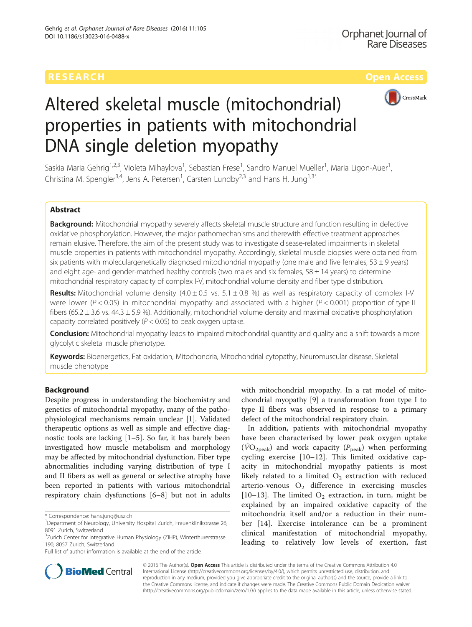

# Altered skeletal muscle (mitochondrial) properties in patients with mitochondrial DNA single deletion myopathy

Saskia Maria Gehrig<sup>1,2,3</sup>, Violeta Mihaylova<sup>1</sup>, Sebastian Frese<sup>1</sup>, Sandro Manuel Mueller<sup>1</sup>, Maria Ligon-Auer<sup>1</sup> , Christina M. Spengler<sup>3,4</sup>, Jens A. Petersen<sup>1</sup>, Carsten Lundby<sup>2,3</sup> and Hans H. Jung<sup>1,3\*</sup>

# Abstract

Background: Mitochondrial myopathy severely affects skeletal muscle structure and function resulting in defective oxidative phosphorylation. However, the major pathomechanisms and therewith effective treatment approaches remain elusive. Therefore, the aim of the present study was to investigate disease-related impairments in skeletal muscle properties in patients with mitochondrial myopathy. Accordingly, skeletal muscle biopsies were obtained from six patients with moleculargenetically diagnosed mitochondrial myopathy (one male and five females,  $53 \pm 9$  years) and eight age- and gender-matched healthy controls (two males and six females,  $58 \pm 14$  years) to determine mitochondrial respiratory capacity of complex I-V, mitochondrial volume density and fiber type distribution.

Results: Mitochondrial volume density  $(4.0 \pm 0.5 \text{ vs. } 5.1 \pm 0.8 \text{ %})$  as well as respiratory capacity of complex I-V were lower ( $P < 0.05$ ) in mitochondrial myopathy and associated with a higher ( $P < 0.001$ ) proportion of type II fibers (65.2  $\pm$  3.6 vs. 44.3  $\pm$  5.9 %). Additionally, mitochondrial volume density and maximal oxidative phosphorylation capacity correlated positively ( $P < 0.05$ ) to peak oxygen uptake.

**Conclusion:** Mitochondrial myopathy leads to impaired mitochondrial quantity and quality and a shift towards a more glycolytic skeletal muscle phenotype.

Keywords: Bioenergetics, Fat oxidation, Mitochondria, Mitochondrial cytopathy, Neuromuscular disease, Skeletal muscle phenotype

# Background

Despite progress in understanding the biochemistry and genetics of mitochondrial myopathy, many of the pathophysiological mechanisms remain unclear [\[1](#page-10-0)]. Validated therapeutic options as well as simple and effective diagnostic tools are lacking [[1](#page-10-0)–[5\]](#page-10-0). So far, it has barely been investigated how muscle metabolism and morphology may be affected by mitochondrial dysfunction. Fiber type abnormalities including varying distribution of type I and II fibers as well as general or selective atrophy have been reported in patients with various mitochondrial respiratory chain dysfunctions [\[6](#page-10-0)–[8\]](#page-10-0) but not in adults

with mitochondrial myopathy. In a rat model of mitochondrial myopathy [\[9](#page-10-0)] a transformation from type I to type II fibers was observed in response to a primary defect of the mitochondrial respiratory chain.

In addition, patients with mitochondrial myopathy have been characterised by lower peak oxygen uptake ( $\overline{VO}_{2\text{peak}}$ ) and work capacity ( $P_{\text{peak}}$ ) when performing cycling exercise [\[10](#page-10-0)–[12](#page-10-0)]. This limited oxidative capacity in mitochondrial myopathy patients is most likely related to a limited  $O_2$  extraction with reduced arterio-venous  $O_2$  difference in exercising muscles [[10](#page-10-0)–[13](#page-10-0)]. The limited  $O_2$  extraction, in turn, might be explained by an impaired oxidative capacity of the mitochondria itself and/or a reduction in their number [\[14](#page-10-0)]. Exercise intolerance can be a prominent clinical manifestation of mitochondrial myopathy, leading to relatively low levels of exertion, fast



© 2016 The Author(s). Open Access This article is distributed under the terms of the Creative Commons Attribution 4.0 International License [\(http://creativecommons.org/licenses/by/4.0/](http://creativecommons.org/licenses/by/4.0/)), which permits unrestricted use, distribution, and reproduction in any medium, provided you give appropriate credit to the original author(s) and the source, provide a link to the Creative Commons license, and indicate if changes were made. The Creative Commons Public Domain Dedication waiver [\(http://creativecommons.org/publicdomain/zero/1.0/](http://creativecommons.org/publicdomain/zero/1.0/)) applies to the data made available in this article, unless otherwise stated.

<sup>\*</sup> Correspondence: [hans.jung@usz.ch](mailto:hans.jung@usz.ch) <sup>1</sup>

<sup>&</sup>lt;sup>1</sup>Department of Neurology, University Hospital Zurich, Frauenklinikstrasse 26, 8091 Zurich, Switzerland

<sup>&</sup>lt;sup>3</sup>Zurich Center for Integrative Human Physiology (ZIHP), Winterthurerstrasse 190, 8057 Zurich, Switzerland

Full list of author information is available at the end of the article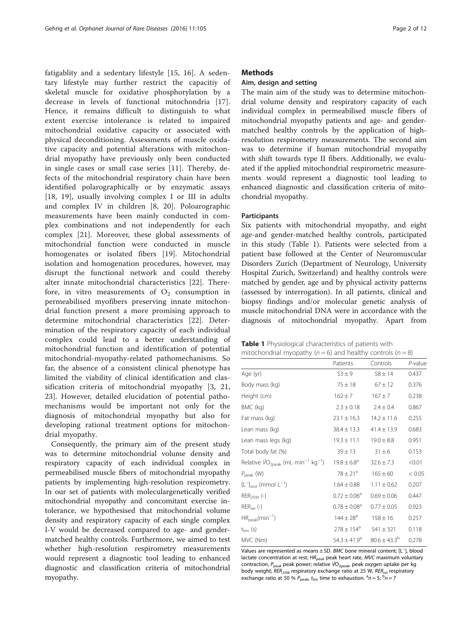<span id="page-1-0"></span>fatigablity and a sedentary lifestyle [[15, 16\]](#page-10-0). A sedentary lifestyle may further restrict the capacitiy of skeletal muscle for oxidative phosphorylation by a decrease in levels of functional mitochondria [\[17](#page-10-0)]. Hence, it remains difficult to distinguish to what extent exercise intolerance is related to impaired mitochondrial oxidative capacity or associated with physical deconditioning. Assessments of muscle oxidative capacity and potential alterations with mitochondrial myopathy have previously only been conducted in single cases or small case series [[11](#page-10-0)]. Thereby, defects of the mitochondrial respiratory chain have been identified polarographically or by enzymatic assays [[18, 19](#page-10-0)], usually involving complex I or III in adults and complex IV in children [[8, 20](#page-10-0)]. Poloarographic measurements have been mainly conducted in complex combinations and not independently for each complex [[21\]](#page-10-0). Moreover, these global assessments of mitochondrial function were conducted in muscle homogenates or isolated fibers [[19](#page-10-0)]. Mitochondrial isolation and homogenation procedures, however, may disrupt the functional network and could thereby alter innate mitochondrial characteristics [[22](#page-10-0)]. Therefore, in vitro measurements of  $O_2$  consumption in permeabilised myofibers preserving innate mitochondrial function present a more promising approach to determine mitochondrial characteristics [\[22](#page-10-0)]. Determination of the respiratory capacity of each individual complex could lead to a better understanding of mitochondrial function and identification of potential mitochondrial-myopathy-related pathomechanisms. So far, the absence of a consistent clinical phenotype has limited the viability of clinical identification and classification criteria of mitochondrial myopathy [\[3](#page-10-0), [21](#page-10-0), [23\]](#page-10-0). However, detailed elucidation of potential pathomechanisms would be important not only for the diagnosis of mitochondrial myopathy but also for developing rational treatment options for mitochondrial myopathy.

Consequently, the primary aim of the present study was to determine mitochondrial volume density and respiratory capacity of each individual complex in permeabilised muscle fibers of mitochondrial myopathy patients by implementing high-resolution respirometry. In our set of patients with moleculargenetically verified mitochondrial myopathy and concomitant exercise intolerance, we hypothesised that mitochondrial volume density and respiratory capacity of each single complex I-V would be decreased compared to age- and gendermatched healthy controls. Furthermore, we aimed to test whether high-resolution respirometry measurements would represent a diagnostic tool leading to enhanced diagnostic and classification criteria of mitochondrial myopathy.

# **Methods**

# Aim, design and setting

The main aim of the study was to determine mitochondrial volume density and respiratory capacity of each individual complex in permeabilised muscle fibers of mitochondrial myopathy patients and age- and gendermatched healthy controls by the application of highresolution respirometry measurements. The second aim was to determine if human mitochondrial myopathy with shift towards type II fibers. Additionally, we evaluated if the applied mitochondrial respirometric measurements would represent a diagnostic tool leading to enhanced diagnostic and classification criteria of mitochondrial myopathy.

# **Participants**

Six patients with mitochondrial myopathy, and eight age-and gender-matched healthy controls, participated in this study (Table 1). Patients were selected from a patient base followed at the Center of Neuromuscular Disorders Zurich (Department of Neurology, University Hospital Zurich, Switzerland) and healthy controls were matched by gender, age and by physical activity patterns (assessed by interrogation). In all patients, clinical and biopsy findings and/or molecular genetic analysis of muscle mitochondrial DNA were in accordance with the diagnosis of mitochondrial myopathy. Apart from

| Table 1 Physiological characteristics of patients with              |  |
|---------------------------------------------------------------------|--|
| mitochondrial myopathy ( $n = 6$ ) and healthy controls ( $n = 8$ ) |  |

| $\mu$ and $\sigma$ and $\mu$ and $\sigma$ and $\sigma$ and $\sigma$ and $\sigma$ and $\sigma$ |                              |                     |         |
|-----------------------------------------------------------------------------------------------|------------------------------|---------------------|---------|
|                                                                                               | Patients                     | Controls            | P-value |
| Age (yr)                                                                                      | $53 + 9$                     | $58 \pm 14$         | 0.437   |
| Body mass (kg)                                                                                | $75 \pm 18$                  | $67 \pm 12$         | 0.376   |
| Height (cm)                                                                                   | $162 \pm 7$                  | $167 \pm 7$         | 0.238   |
| BMC (kg)                                                                                      | $2.3 \pm 0.18$               | $2.4 \pm 0.4$       | 0.867   |
| Fat mass (kg)                                                                                 | $23.1 \pm 16.3$              | $14.2 \pm 11.6$     | 0.255   |
| Lean mass (kg)                                                                                | $38.4 \pm 13.3$              | $41.4 \pm 13.9$     | 0.683   |
| Lean mass legs (kg)                                                                           | $19.3 \pm 11.1$              | $19.0 \pm 8.8$      | 0.951   |
| Total body fat (%)                                                                            | $39 \pm 13$                  | $31 \pm 6$          | 0.153   |
| Relative $\dot{V}O_{2\text{peak}}$ (mL min <sup>-1</sup> kg <sup>-1</sup> )                   | $19.8 \pm 6.8^{\circ}$       | $32.6 \pm 7.3$      | < 0.01  |
| $P_{\text{peak}}$ (W)                                                                         | $78 \pm 21^{a}$              | $165 \pm 60$        | < 0.05  |
| $[L^-]_{rest}$ (mmol $L^{-1}$ )                                                               | $1.64 \pm 0.88$              | $1.11 \pm 0.62$     | 0.207   |
| $RER_{25W}$ (-)                                                                               | $0.72 \pm 0.06^a$            | $0.69 \pm 0.06$     | 0.447   |
| $RER_{rel}$ (-)                                                                               | $0.78 \pm 0.08$ <sup>a</sup> | $0.77 \pm 0.05$     | 0.923   |
| $HR_{peak}(min^{-1})$                                                                         | $144 \pm 28^{\circ}$         | $158 \pm 16$        | 0.257   |
| $t_{\text{lim}}$ (s)                                                                          | $278 \pm 154^{\circ}$        | $541 \pm 321$       | 0.118   |
| MVC (Nm)                                                                                      | $54.3 \pm 41.9^a$            | $80.6 \pm 43.3^{b}$ | 0.278   |

Values are represented as means ± SD. BMC bone mineral content; [L<sup>-</sup>], blood lactate concentration at rest;  $HR_{peak}$  peak heart rate, MVC maximum voluntary contraction,  $P_{peak}$  peak power; relative  $VO_{2peak}$  peak oxygen uptake per kg body weight;  $RER_{25W}$  respiratory exchange ratio at 25 W,  $RER_{rel}$  respiratory exchange ratio at 50 %  $P_{\text{peak}}$ ,  $t_{\text{lim}}$  time to exhaustion.  ${}^{a}n = 5$ ;  ${}^{b}n = 7$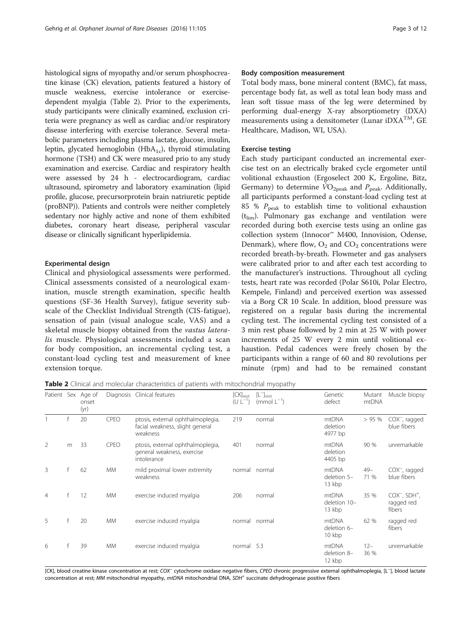<span id="page-2-0"></span>histological signs of myopathy and/or serum phosphocreatine kinase (CK) elevation, patients featured a history of muscle weakness, exercise intolerance or exercisedependent myalgia (Table 2). Prior to the experiments, study participants were clinically examined, exclusion criteria were pregnancy as well as cardiac and/or respiratory disease interfering with exercise tolerance. Several metabolic parameters including plasma lactate, glucose, insulin, leptin, glycated hemoglobin  $(HbA_{1c})$ , thyroid stimulating hormone (TSH) and CK were measured prio to any study examination and exercise. Cardiac and respiratory health were assessed by 24 h - electrocardiogram, cardiac ultrasound, spirometry and laboratory examination (lipid profile, glucose, precursorprotein brain natriuretic peptide (proBNP)). Patients and controls were neither completely sedentary nor highly active and none of them exhibited diabetes, coronary heart disease, peripheral vascular disease or clinically significant hyperlipidemia.

# Experimental design

Clinical and physiological assessments were performed. Clinical assessments consisted of a neurological examination, muscle strength examination, specific health questions (SF-36 Health Survey), fatigue severity subscale of the Checklist Individual Strength (CIS-fatigue), sensation of pain (visual analogue scale, VAS) and a skeletal muscle biopsy obtained from the vastus lateralis muscle. Physiological assessments included a scan for body composition, an incremental cycling test, a constant-load cycling test and measurement of knee extension torque.

# Body composition measurement

Total body mass, bone mineral content (BMC), fat mass, percentage body fat, as well as total lean body mass and lean soft tissue mass of the leg were determined by performing dual-energy X-ray absorptiometry (DXA) measurements using a densitometer (Lunar iDXA<sup>TM</sup>, GE Healthcare, Madison, WI, USA).

# Exercise testing

Each study participant conducted an incremental exercise test on an electrically braked cycle ergometer until volitional exhaustion (Ergoselect 200 K, Ergoline, Bitz, Germany) to determine  $\dot{V}O_{2\text{peak}}$  and  $P_{\text{peak}}$ . Additionally, all participants performed a constant-load cycling test at 85 %  $P_{\text{peak}}$  to establish time to volitional exhaustion  $(t_{\text{lim}})$ . Pulmonary gas exchange and ventilation were recorded during both exercise tests using an online gas collection system (Innocor™ M400, Innovision, Odense, Denmark), where flow,  $O_2$  and  $CO_2$  concentrations were recorded breath-by-breath. Flowmeter and gas analysers were calibrated prior to and after each test according to the manufacturer's instructions. Throughout all cycling tests, heart rate was recorded (Polar S610i, Polar Electro, Kempele, Finland) and perceived exertion was assessed via a Borg CR 10 Scale. In addition, blood pressure was registered on a regular basis during the incremental cycling test. The incremental cycling test consisted of a 3 min rest phase followed by 2 min at 25 W with power increments of 25 W every 2 min until volitional exhaustion. Pedal cadences were freely chosen by the participants within a range of 60 and 80 revolutions per minute (rpm) and had to be remained constant

Table 2 Clinical and molecular characteristics of patients with mitochondrial myopathy

|                |   | Patient Sex Age of<br>onset<br>(yr) |             | Diagnosis Clinical features                                                      | $[\mathsf{CK}]_\mathsf{rest}$<br>$(U L^{-1})$ | $[L^-]_{rest}$<br>$(mmol L^{-1})$ | Genetic<br>defect               | Mutant<br>mtDNA | Muscle biopsy                               |
|----------------|---|-------------------------------------|-------------|----------------------------------------------------------------------------------|-----------------------------------------------|-----------------------------------|---------------------------------|-----------------|---------------------------------------------|
|                |   | 20                                  | CPEO        | ptosis, external ophthalmoplegia,<br>facial weakness, slight general<br>weakness | 219                                           | normal                            | mtDNA<br>deletion<br>4977 bp    | > 95%           | $COX^-$ , ragged<br>blue fibers             |
| 2              | m | 33                                  | <b>CPEO</b> | ptosis, external ophthalmoplegia,<br>general weakness, exercise<br>intolerance   | 401                                           | normal                            | mtDNA<br>deletion<br>4405 bp    | 90 %            | unremarkable                                |
| 3              |   | 62                                  | <b>MM</b>   | mild proximal lower extremity<br>weakness                                        |                                               | normal normal                     | mtDNA<br>deletion 5-<br>13 kbp  | $49-$<br>71 %   | $COX^-$ , ragged<br>blue fibers             |
| $\overline{4}$ | f | 12                                  | <b>MM</b>   | exercise induced myalgia                                                         | 206                                           | normal                            | mtDNA<br>deletion 10-<br>13 kbp | 35 %            | $COX^-$ , $SDH^+$ ,<br>ragged red<br>fibers |
| 5              |   | 20                                  | <b>MM</b>   | exercise induced myalgia                                                         |                                               | normal normal                     | mtDNA<br>deletion 6-<br>10 kbp  | 62 %            | ragged red<br>fibers                        |
| 6              |   | 39                                  | МM          | exercise induced myalgia                                                         | normal 5.3                                    |                                   | mtDNA<br>deletion 8-<br>12 kbp  | $12 -$<br>36 %  | unremarkable                                |

[CK], blood creatine kinase concentration at rest; COX<sup>−</sup> cytochrome oxidase negative fibers, CPEO chronic progressive external ophthalmoplegia, [L<sup>−</sup> ], blood lactate concentration at rest; MM mitochondrial myopathy, mtDNA mitochondrial DNA, SDH<sup>+</sup> succinate dehydrogenase positive fibers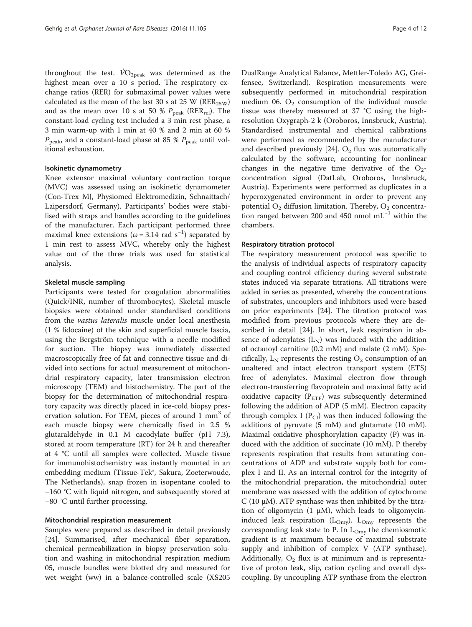throughout the test.  $\dot{VO}_{2\text{peak}}$  was determined as the highest mean over a 10 s period. The respiratory exchange ratios (RER) for submaximal power values were calculated as the mean of the last 30 s at 25 W ( $RER_{25W}$ ) and as the mean over 10 s at 50 %  $P_{\text{peak}}$  (RER<sub>rel</sub>). The constant-load cycling test included a 3 min rest phase, a 3 min warm-up with 1 min at 40 % and 2 min at 60 %  $P_{\text{peak}}$ , and a constant-load phase at 85 %  $P_{\text{peak}}$  until volitional exhaustion.

# Isokinetic dynamometry

Knee extensor maximal voluntary contraction torque (MVC) was assessed using an isokinetic dynamometer (Con-Trex MJ, Physiomed Elektromedizin, Schnaittach/ Laipersdorf, Germany). Participants' bodies were stabilised with straps and handles according to the guidelines of the manufacturer. Each participant performed three maximal knee extensions ( $\omega$  = 3.14 rad s<sup>-1</sup>) separated by 1 min rest to assess MVC, whereby only the highest value out of the three trials was used for statistical analysis.

# Skeletal muscle sampling

Participants were tested for coagulation abnormalities (Quick/INR, number of thrombocytes). Skeletal muscle biopsies were obtained under standardised conditions from the vastus lateralis muscle under local anesthesia (1 % lidocaine) of the skin and superficial muscle fascia, using the Bergström technique with a needle modified for suction. The biopsy was immediately dissected macroscopically free of fat and connective tissue and divided into sections for actual measurement of mitochondrial respiratory capacity, later transmission electron microscopy (TEM) and histochemistry. The part of the biopsy for the determination of mitochondrial respiratory capacity was directly placed in ice-cold biopsy preservation solution. For TEM, pieces of around  $1 \text{ mm}^3$  of each muscle biopsy were chemically fixed in 2.5 % glutaraldehyde in 0.1 M cacodylate buffer (pH 7.3), stored at room temperature (RT) for 24 h and thereafter at 4 °C until all samples were collected. Muscle tissue for immunohistochemistry was instantly mounted in an embedding medium (Tissue-Tek®, Sakura, Zoeterwoude, The Netherlands), snap frozen in isopentane cooled to −160 °C with liquid nitrogen, and subsequently stored at −80 °C until further processing.

# Mitochondrial respiration measurement

Samples were prepared as described in detail previously [[24\]](#page-10-0). Summarised, after mechanical fiber separation, chemical permeabilization in biopsy preservation solution and washing in mitochondrial respiration medium 05, muscle bundles were blotted dry and measured for wet weight (ww) in a balance-controlled scale (XS205

DualRange Analytical Balance, Mettler-Toledo AG, Greifensee, Switzerland). Respiration measurements were subsequently performed in mitochondrial respiration medium 06.  $O_2$  consumption of the individual muscle tissue was thereby measured at 37 °C using the highresolution Oxygraph-2 k (Oroboros, Innsbruck, Austria). Standardised instrumental and chemical calibrations were performed as recommended by the manufacturer and described previously  $[24]$  $[24]$ . O<sub>2</sub> flux was automatically calculated by the software, accounting for nonlinear changes in the negative time derivative of the  $O_2$ concentration signal (DatLab, Oroboros, Innsbruck, Austria). Experiments were performed as duplicates in a hyperoxygenated environment in order to prevent any potential  $O_2$  diffusion limitation. Thereby,  $O_2$  concentration ranged between 200 and 450 nmol mL<sup>-1</sup> within the chambers.

### Respiratory titration protocol

The respiratory measurement protocol was specific to the analysis of individual aspects of respiratory capacity and coupling control efficiency during several substrate states induced via separate titrations. All titrations were added in series as presented, whereby the concentrations of substrates, uncouplers and inhibitors used were based on prior experiments [\[24\]](#page-10-0). The titration protocol was modified from previous protocols where they are described in detail [[24](#page-10-0)]. In short, leak respiration in absence of adenylates  $(L_N)$  was induced with the addition of octanoyl carnitine (0.2 mM) and malate (2 mM). Specifically,  $L_N$  represents the resting  $O_2$  consumption of an unaltered and intact electron transport system (ETS) free of adenylates. Maximal electron flow through electron-transferring flavoprotein and maximal fatty acid oxidative capacity ( $P_{ETF}$ ) was subsequently determined following the addition of ADP (5 mM). Electron capacity through complex I ( $P_{CI}$ ) was then induced following the additions of pyruvate (5 mM) and glutamate (10 mM). Maximal oxidative phosphorylation capacity (P) was induced with the addition of succinate (10 mM). P thereby represents respiration that results from saturating concentrations of ADP and substrate supply both for complex I and II. As an internal control for the integrity of the mitochondrial preparation, the mitochondrial outer membrane was assessed with the addition of cytochrome C (10  $\mu$ M). ATP synthase was then inhibited by the titration of oligomycin  $(1 \mu M)$ , which leads to oligomycininduced leak respiration  $(L_{Omy})$ .  $L_{Omy}$  represents the corresponding leak state to P. In  $L_{Omy}$  the chemiosmotic gradient is at maximum because of maximal substrate supply and inhibition of complex V (ATP synthase). Additionally,  $O_2$  flux is at minimum and is representative of proton leak, slip, cation cycling and overall dyscoupling. By uncoupling ATP synthase from the electron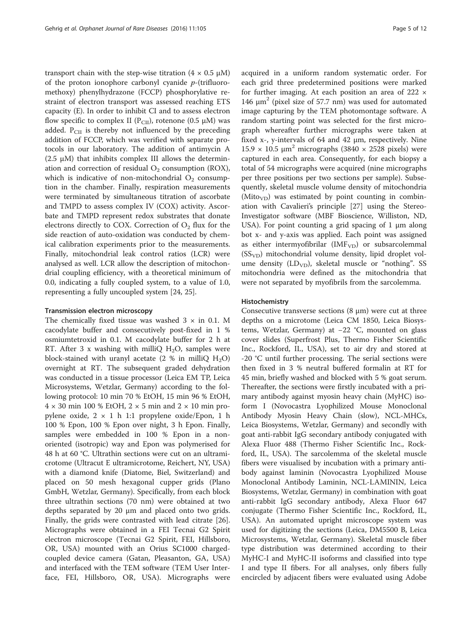transport chain with the step-wise titration  $(4 \times 0.5 \mu M)$ of the proton ionophore carbonyl cyanide  $p$ -(trifluoromethoxy) phenylhydrazone (FCCP) phosphorylative restraint of electron transport was assessed reaching ETS capacity (E). In order to inhibit CI and to assess electron flow specific to complex II (P<sub>CII</sub>), rotenone (0.5 μM) was added.  $P_{\text{CII}}$  is thereby not influenced by the preceding addition of FCCP, which was verified with separate protocols in our laboratory. The addition of antimycin A (2.5  $\mu$ M) that inhibits complex III allows the determination and correction of residual  $O_2$  consumption (ROX), which is indicative of non-mitochondrial  $O_2$  consumption in the chamber. Finally, respiration measurements were terminated by simultaneous titration of ascorbate and TMPD to assess complex IV (COX) activity. Ascorbate and TMPD represent redox substrates that donate electrons directly to COX. Correction of  $O_2$  flux for the side reaction of auto-oxidation was conducted by chemical calibration experiments prior to the measurements. Finally, mitochondrial leak control ratios (LCR) were analysed as well. LCR allow the description of mitochondrial coupling efficiency, with a theoretical minimum of 0.0, indicating a fully coupled system, to a value of 1.0, representing a fully uncoupled system [\[24, 25\]](#page-10-0).

# Transmission electron microscopy

The chemically fixed tissue was washed  $3 \times$  in 0.1. M cacodylate buffer and consecutively post-fixed in 1 % osmiumtetroxid in 0.1. M cacodylate buffer for 2 h at RT. After 3 x washing with milliQ  $H_2O$ , samples were block-stained with uranyl acetate (2 % in milliQ  $H_2O$ ) overnight at RT. The subsequent graded dehydration was conducted in a tissue processor (Leica EM TP, Leica Microsystems, Wetzlar, Germany) according to the following protocol: 10 min 70 % EtOH, 15 min 96 % EtOH,  $4 \times 30$  min 100 % EtOH, 2  $\times$  5 min and 2  $\times$  10 min propylene oxide,  $2 \times 1$  h 1:1 propylene oxide/Epon, 1 h 100 % Epon, 100 % Epon over night, 3 h Epon. Finally, samples were embedded in 100 % Epon in a nonoriented (isotropic) way and Epon was polymerised for 48 h at 60 °C. Ultrathin sections were cut on an ultramicrotome (Ultracut E ultramicrotome, Reichert, NY, USA) with a diamond knife (Diatome, Biel, Switzerland) and placed on 50 mesh hexagonal cupper grids (Plano GmbH, Wetzlar, Germany). Specifically, from each block three ultrathin sections (70 nm) were obtained at two depths separated by 20 μm and placed onto two grids. Finally, the grids were contrasted with lead citrate [\[26](#page-10-0)]. Micrographs were obtained in a FEI Tecnai G2 Spirit electron microscope (Tecnai G2 Spirit, FEI, Hillsboro, OR, USA) mounted with an Orius SC1000 chargedcoupled device camera (Gatan, Pleasanton, GA, USA) and interfaced with the TEM software (TEM User Interface, FEI, Hillsboro, OR, USA). Micrographs were acquired in a uniform random systematic order. For each grid three predetermined positions were marked for further imaging. At each position an area of  $222 \times$ 146  $μm²$  (pixel size of 57.7 nm) was used for automated image capturing by the TEM photomontage software. A random starting point was selected for the first micrograph whereafter further micrographs were taken at fixed x-, y-intervals of 64 and 42 μm, respectively. Nine 15.9  $\times$  10.5 μm<sup>2</sup> micrographs (3840  $\times$  2528 pixels) were captured in each area. Consequently, for each biopsy a total of 54 micrographs were acquired (nine micrographs per three positions per two sections per sample). Subsequently, skeletal muscle volume density of mitochondria (Mito<sub>VD</sub>) was estimated by point counting in combination with Cavalieri's principle [\[27\]](#page-10-0) using the Stereo-Investigator software (MBF Bioscience, Williston, ND, USA). For point counting a grid spacing of  $1 \mu m$  along bot x- and y-axis was applied. Each point was assigned as either intermyofibrilar (IMF<sub>VD</sub>) or subsarcolemmal  $(SS<sub>VD</sub>)$  mitochondrial volume density, lipid droplet volume density  $(LD_{VD})$ , skeletal muscle or "nothing". SS mitochondria were defined as the mitochondria that were not separated by myofibrils from the sarcolemma.

# Histochemistry

Consecutive transverse sections  $(8 \mu m)$  were cut at three depths on a microtome (Leica CM 1850, Leica Biosystems, Wetzlar, Germany) at −22 °C, mounted on glass cover slides (Superfrost Plus, Thermo Fisher Scientific Inc., Rockford, IL, USA), set to air dry and stored at -20 °C until further processing. The serial sections were then fixed in 3 % neutral buffered formalin at RT for 45 min, briefly washed and blocked with 5 % goat serum. Thereafter, the sections were firstly incubated with a primary antibody against myosin heavy chain (MyHC) isoform I (Novocastra Lyophilized Mouse Monoclonal Antibody Myosin Heavy Chain (slow), NCL-MHCs, Leica Biosystems, Wetzlar, Germany) and secondly with goat anti-rabbit IgG secondary antibody conjugated with Alexa Fluor 488 (Thermo Fisher Scientific Inc., Rockford, IL, USA). The sarcolemma of the skeletal muscle fibers were visualised by incubation with a primary antibody against laminin (Novocastra Lyophilized Mouse Monoclonal Antibody Laminin, NCL-LAMININ, Leica Biosystems, Wetzlar, Germany) in combination with goat anti-rabbit IgG secondary antibody, Alexa Fluor 647 conjugate (Thermo Fisher Scientific Inc., Rockford, IL, USA). An automated upright microscope system was used for digitizing the sections (Leica, DM5500 B, Leica Microsystems, Wetzlar, Germany). Skeletal muscle fiber type distribution was determined according to their MyHC-I and MyHC-II isoforms and classified into type I and type II fibers. For all analyses, only fibers fully encircled by adjacent fibers were evaluated using Adobe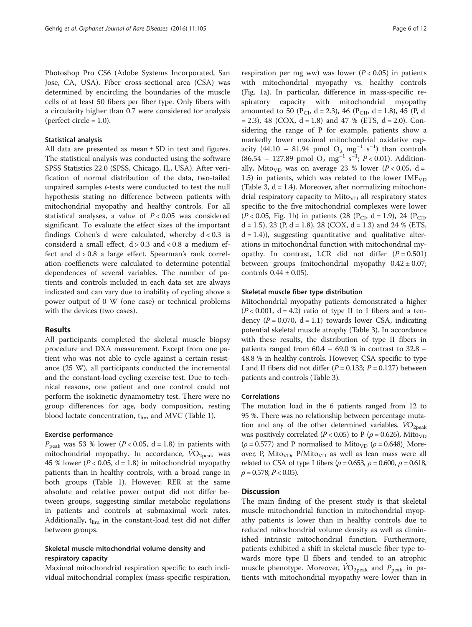Photoshop Pro CS6 (Adobe Systems Incorporated, San Jose, CA, USA). Fiber cross-sectional area (CSA) was determined by encircling the boundaries of the muscle cells of at least 50 fibers per fiber type. Only fibers with a circularity higher than 0.7 were considered for analysis (perfect circle  $= 1.0$ ).

# Statistical analysis

All data are presented as mean  $\pm$  SD in text and figures. The statistical analysis was conducted using the software SPSS Statistics 22.0 (SPSS, Chicago, IL, USA). After verification of normal distribution of the data, two-tailed unpaired samples t-tests were conducted to test the null hypothesis stating no difference between patients with mitochondrial myopathy and healthy controls. For all statistical analyses, a value of  $P < 0.05$  was considered significant. To evaluate the effect sizes of the important findings Cohen's d were calculated, whereby  $d < 0.3$  is considerd a small effect,  $d > 0.3$  and  $< 0.8$  a medium effect and  $d > 0.8$  a large effect. Spearman's rank correlation coeffiencts were calculated to determine potential dependences of several variables. The number of patients and controls included in each data set are always indicated and can vary due to inability of cycling above a power output of 0 W (one case) or technical problems with the devices (two cases).

# Results

All participants completed the skeletal muscle biopsy procedure and DXA measurement. Except from one patient who was not able to cycle against a certain resistance (25 W), all participants conducted the incremental and the constant-load cycling exercise test. Due to technical reasons, one patient and one control could not perform the isokinetic dynamometry test. There were no group differences for age, body composition, resting blood lactate concentration,  $t_{\text{lim}}$  and MVC (Table [1\)](#page-1-0).

### Exercise performance

 $P_{\text{peak}}$  was 53 % lower (P < 0.05, d = 1.8) in patients with mitochondrial myopathy. In accordance,  $\dot{V}O_{2\text{peak}}$  was 45 % lower ( $P < 0.05$ , d = 1.8) in mitochondrial myopathy patients than in healthy controls, with a broad range in both groups (Table [1](#page-1-0)). However, RER at the same absolute and relative power output did not differ between groups, suggesting similar metabolic regulations in patients and controls at submaximal work rates. Additionally,  $t_{\text{lim}}$  in the constant-load test did not differ between groups.

# Skeletal muscle mitochondrial volume density and respiratory capacity

Maximal mitochondrial respiration specific to each individual mitochondrial complex (mass-specific respiration,

respiration per mg ww) was lower ( $P < 0.05$ ) in patients with mitochondrial myopathy vs. healthy controls (Fig. [1a](#page-6-0)). In particular, difference in mass-specific respiratory capacity with mitochondrial myopathy amounted to 50 ( $P_{CI}$ , d = 2.3), 46 ( $P_{CI}$ , d = 1.8), 45 (P, d  $= 2.3$ ), 48 (COX, d  $= 1.8$ ) and 47 % (ETS, d  $= 2.0$ ). Considering the range of P for example, patients show a markedly lower maximal mitochondrial oxidative capacity (44.10 – 81.94 pmol  $O_2$  mg<sup>-1</sup> s<sup>-1</sup>) than controls (86.54 – 127.89 pmol O<sub>2</sub> mg<sup>-1</sup> s<sup>-1</sup>;  $P < 0.01$ ). Additionally, Mito<sub>VD</sub> was on average 23 % lower ( $P < 0.05$ , d = 1.5) in patients, which was related to the lower  $IMF_{VD}$ (Table [3,](#page-7-0)  $d = 1.4$ ). Moreover, after normalizing mitochondrial respiratory capacity to Mito<sub>VD</sub> all respiratory states specific to the five mitochondrial complexes were lower  $(P < 0.05$ , Fig. [1b\)](#page-6-0) in patients (28 (P<sub>CI</sub>, d = 1.9), 24 (P<sub>CII</sub>,  $d = 1.5$ ), 23 (P,  $d = 1.8$ ), 28 (COX,  $d = 1.3$ ) and 24 % (ETS,  $d = 1.4$ )), suggesting quantitative and qualitative alterations in mitochondrial function with mitochondrial myopathy. In contrast, LCR did not differ  $(P = 0.501)$ between groups (mitochondrial myopathy  $0.42 \pm 0.07$ ; controls  $0.44 \pm 0.05$ ).

# Skeletal muscle fiber type distribution

Mitochondrial myopathy patients demonstrated a higher  $(P<0.001, d = 4.2)$  ratio of type II to I fibers and a tendency ( $P = 0.070$ ,  $d = 1.1$ ) towards lower CSA, indicating potential skeletal muscle atrophy (Table [3\)](#page-7-0). In accordance with these results, the distribution of type II fibers in patients ranged from  $60.4 - 69.0$  % in contrast to  $32.8$  – 48.8 % in healthy controls. However, CSA specific to type I and II fibers did not differ ( $P = 0.133$ ;  $P = 0.127$ ) between patients and controls (Table [3\)](#page-7-0).

# Correlations

The mutation load in the 6 patients ranged from 12 to 95 %. There was no relationship between percentage mutation and any of the other determined variables.  $\dot{V}O_{2\text{peak}}$ was positively correlated ( $P < 0.05$ ) to P ( $\rho = 0.626$ ), Mito<sub>VD</sub> ( $\rho$  = 0.577) and P normalised to Mito<sub>VD</sub> ( $\rho$  = 0.648). Moreover, P, Mito<sub>VD</sub>, P/Mito<sub>VD</sub> as well as lean mass were all related to CSA of type I fibers ( $\rho = 0.653$ ,  $\rho = 0.600$ ,  $\rho = 0.618$ ,  $\rho = 0.578; P < 0.05$ ).

# **Discussion**

The main finding of the present study is that skeletal muscle mitochondrial function in mitochondrial myopathy patients is lower than in healthy controls due to reduced mitochondrial volume density as well as diminished intrinsic mitochondrial function. Furthermore, patients exhibited a shift in skeletal muscle fiber type towards more type II fibers and tended to an atrophic muscle phenotype. Moreover,  $VO_{2\text{peak}}$  and  $P_{\text{peak}}$  in patients with mitochondrial myopathy were lower than in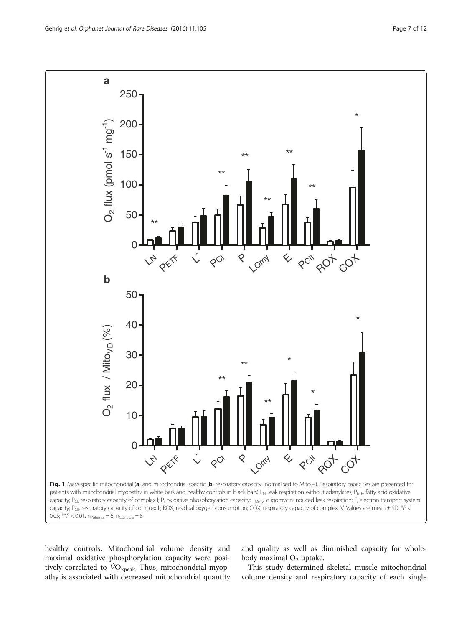<span id="page-6-0"></span>

healthy controls. Mitochondrial volume density and maximal oxidative phosphorylation capacity were positively correlated to  $\dot{V}O_{2\text{peak}}$ . Thus, mitochondrial myopathy is associated with decreased mitochondrial quantity and quality as well as diminished capacity for wholebody maximal  $O<sub>2</sub>$  uptake.

This study determined skeletal muscle mitochondrial volume density and respiratory capacity of each single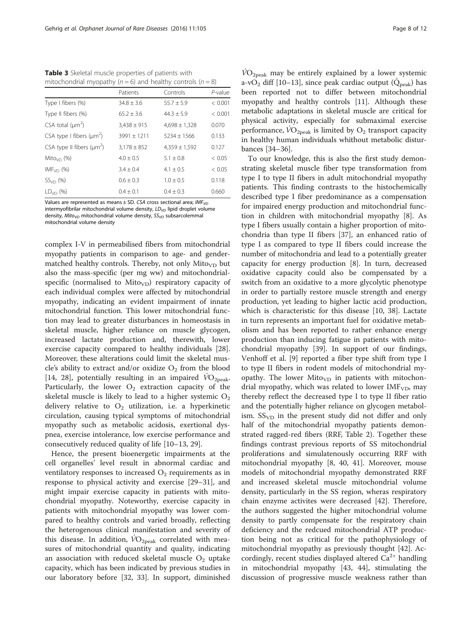<span id="page-7-0"></span>Table 3 Skeletal muscle properties of patients with mitochondrial myopathy ( $n = 6$ ) and healthy controls ( $n = 8$ )

|                                      | Patients        | Controls          | $P$ -value |
|--------------------------------------|-----------------|-------------------|------------|
| Type I fibers (%)                    | $34.8 + 3.6$    | $55.7 + 5.9$      | < 0.001    |
| Type II fibers (%)                   | $65.2 + 3.6$    | $44.3 + 5.9$      | < 0.001    |
| $CSA$ total ( $\mu$ m <sup>2</sup> ) | $3,438 \pm 915$ | $4,698 \pm 1,328$ | 0.070      |
| CSA type I fibers $(\mu m^2)$        | $3991 + 1211$   | $5234 + 1566$     | 0.133      |
| CSA type II fibers $(\mu m^2)$       | $3,178 \pm 852$ | $4,359 \pm 1,592$ | 0.127      |
| $MitoVD$ (%)                         | $4.0 + 0.5$     | $5.1 + 0.8$       | < 0.05     |
| $IMF_{VD}$ (%)                       | $3.4 + 0.4$     | $4.1 + 0.5$       | < 0.05     |
| $SSVD$ (%)                           | $0.6 + 0.3$     | $1.0 + 0.5$       | 0.118      |
| $LDvn$ (%)                           | $0.4 + 0.1$     | $0.4 + 0.3$       | 0.660      |

Values are represented as means  $\pm$  SD. CSA cross sectional area; IMF<sub>VD</sub> intermyofibrilar mitochondrial volume density,  $LD_{VD}$  lipid droplet volume density, Mito<sub>VD</sub> mitochondrial volume density,  $SS_{VD}$  subsarcolemmal mitochondrial volume density

complex I-V in permeabilised fibers from mitochondrial myopathy patients in comparison to age- and gendermatched healthy controls. Thereby, not only  $Mito<sub>VD</sub>$  but also the mass-specific (per mg ww) and mitochondrialspecific (normalised to  $Mito<sub>VD</sub>$ ) respiratory capacity of each individual complex were affected by mitochondrial myopathy, indicating an evident impairment of innate mitochondrial function. This lower mitochondrial function may lead to greater disturbances in homeostasis in skeletal muscle, higher reliance on muscle glycogen, increased lactate production and, therewith, lower exercise capacity compared to healthy individuals [\[28](#page-10-0)]. Moreover, these alterations could limit the skeletal muscle's ability to extract and/or oxidize  $O_2$  from the blood [[14, 28\]](#page-10-0), potentially resulting in an impaired  $\dot{V}O_{2\text{peak}}$ . Particularly, the lower  $O_2$  extraction capacity of the skeletal muscle is likely to lead to a higher systemic  $O_2$ delivery relative to  $O_2$  utilization, i.e. a hyperkinetic circulation, causing typical symptoms of mitochondrial myopathy such as metabolic acidosis, exertional dyspnea, exercise intolerance, low exercise performance and consecutively reduced quality of life [[10](#page-10-0)–[13](#page-10-0), [29](#page-10-0)].

Hence, the present bioenergetic impairments at the cell organelles' level result in abnormal cardiac and ventilatory responses to increased  $O_2$  requirements as in response to physical activity and exercise [\[29](#page-10-0)–[31\]](#page-10-0), and might impair exercise capacity in patients with mitochondrial myopathy. Noteworthy, exercise capacity in patients with mitochondrial myopathy was lower compared to healthy controls and varied broadly, reflecting the heterogenous clinical manifestation and severity of this disease. In addition,  $\rm \dot{VO}_{2peak}$  correlated with measures of mitochondrial quantity and quality, indicating an association with reduced skeletal muscle  $O_2$  uptake capacity, which has been indicated by previous studies in our laboratory before [\[32, 33\]](#page-10-0). In support, diminished  $\rm\dot{VO}_{2peak}$  may be entirely explained by a lower systemic a-vO<sub>2</sub> diff [\[10](#page-10-0)–[13\]](#page-10-0), since peak cardiac output  $(\dot{Q}_{peak})$  has been reported not to differ between mitochondrial myopathy and healthy controls [\[11](#page-10-0)]. Although these metabolic adaptations in skeletal muscle are critical for physical activity, especially for submaximal exercise performance,  $\dot{V}O_{2\text{peak}}$  is limited by  $O_2$  transport capacity in healthy human individuals whithout metabolic disturbances [\[34](#page-10-0)–[36\]](#page-10-0).

To our knowledge, this is also the first study demonstrating skeletal muscle fiber type transformation from type I to type II fibers in adult mitochondrial myopathy patients. This finding contrasts to the histochemically described type I fiber predominance as a compensation for impaired energy production and mitochondrial function in children with mitochondrial myopathy [\[8](#page-10-0)]. As type I fibers usually contain a higher proportion of mitochondria than type II fibers [\[37](#page-10-0)], an enhanced ratio of type I as compared to type II fibers could increase the number of mitochondria and lead to a potentially greater capacity for energy production [[8\]](#page-10-0). In turn, decreased oxidative capacity could also be compensated by a switch from an oxidative to a more glycolytic phenotype in order to partially restore muscle strength and energy production, yet leading to higher lactic acid production, which is characteristic for this disease [\[10](#page-10-0), [38](#page-10-0)]. Lactate in turn represents an important fuel for oxidative metabolism and has been reported to rather enhance energy production than inducing fatigue in patients with mitochondrial myopathy [\[39\]](#page-10-0). In support of our findings, Venhoff et al. [\[9](#page-10-0)] reported a fiber type shift from type I to type II fibers in rodent models of mitochondrial myopathy. The lower Mito<sub>VD</sub> in patients with mitochondrial myopathy, which was related to lower IMF<sub>VD</sub>, may thereby reflect the decreased type I to type II fiber ratio and the potentially higher reliance on glycogen metabolism.  $SS<sub>VD</sub>$  in the present study did not differ and only half of the mitochondrial myopathy patients demonstrated ragged-red fibers (RRF, Table [2\)](#page-2-0). Together these findings contrast previous reports of SS mitochondrial proliferations and simulatenously occurring RRF with mitochondrial myopathy [[8, 40, 41\]](#page-10-0). Moreover, mouse models of mitochondrial myopathy demonstrated RRF and increased skeletal muscle mitochondrial volume density, particularly in the SS region, wheras respiratory chain enzyme activites were decreased [\[42](#page-10-0)]. Therefore, the authors suggested the higher mitochondrial volume density to partly compensate for the respiratory chain deficiency and the redcued mitochondrial ATP production being not as critical for the pathophysiology of mitochondrial myopathy as previously thought [\[42](#page-10-0)]. Accordingly, recent studies displayed altered  $Ca^{2+}$  handling in mitochondrial myopathy [\[43](#page-10-0), [44\]](#page-10-0), stimulating the discussion of progressive muscle weakness rather than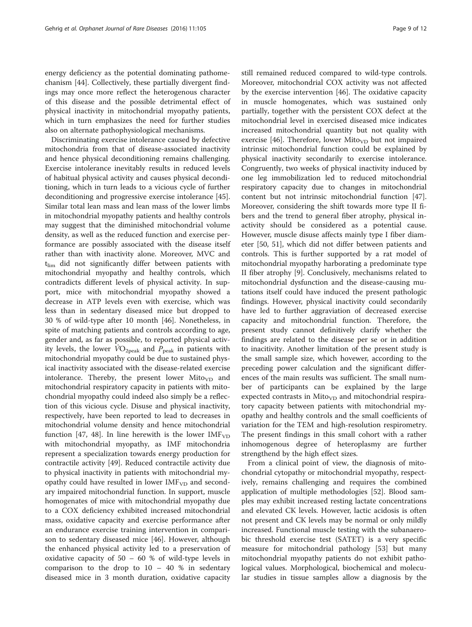energy deficiency as the potential dominating pathomechanism [\[44](#page-10-0)]. Collectively, these partially divergent findings may once more reflect the heterogenous character of this disease and the possible detrimental effect of physical inactivity in mitochondrial myopathy patients, which in turn emphasizes the need for further studies also on alternate pathophysiological mechanisms.

Discriminating exercise intolerance caused by defective mitochondria from that of disease-associated inactivity and hence physical deconditioning remains challenging. Exercise intolerance inevitably results in reduced levels of habitual physical activity and causes physical deconditioning, which in turn leads to a vicious cycle of further deconditioning and progressive exercise intolerance [\[45](#page-11-0)]. Similar total lean mass and lean mass of the lower limbs in mitochondrial myopathy patients and healthy controls may suggest that the diminished mitochondrial volume density, as well as the reduced function and exercise performance are possibly associated with the disease itself rather than with inactivity alone. Moreover, MVC and t<sub>lim</sub> did not significantly differ between patients with mitochondrial myopathy and healthy controls, which contradicts different levels of physical activity. In support, mice with mitochondrial myopathy showed a decrease in ATP levels even with exercise, which was less than in sedentary diseased mice but dropped to 30 % of wild-type after 10 month [[46\]](#page-11-0). Nonetheless, in spite of matching patients and controls according to age, gender and, as far as possible, to reported physical activity levels, the lower  $\rm\ddot{VO}_{2peak}$  and  $P_{peak}$  in patients with mitochondrial myopathy could be due to sustained physical inactivity associated with the disease-related exercise intolerance. Thereby, the present lower Mito<sub>VD</sub> and mitochondrial respiratory capacity in patients with mitochondrial myopathy could indeed also simply be a reflection of this vicious cycle. Disuse and physical inactivity, respectively, have been reported to lead to decreases in mitochondrial volume density and hence mitochondrial function [[47](#page-11-0), [48\]](#page-11-0). In line herewith is the lower  $IMF_{VD}$ with mitochondrial myopathy, as IMF mitochondria represent a specialization towards energy production for contractile activity [\[49](#page-11-0)]. Reduced contractile activity due to physical inactivity in patients with mitochondrial myopathy could have resulted in lower  $IMF_{VD}$  and secondary impaired mitochondrial function. In support, muscle homogenates of mice with mitochondrial myopathy due to a COX deficiency exhibited increased mitochondrial mass, oxidative capacity and exercise performance after an endurance exercise training intervention in comparison to sedentary diseased mice [[46\]](#page-11-0). However, although the enhanced physical activity led to a preservation of oxidative capacity of 50 – 60 % of wild-type levels in comparison to the drop to  $10 - 40$  % in sedentary diseased mice in 3 month duration, oxidative capacity

still remained reduced compared to wild-type controls. Moreover, mitochondrial COX activity was not affected by the exercise intervention [[46\]](#page-11-0). The oxidative capacity in muscle homogenates, which was sustained only partially, together with the persistent COX defect at the mitochondrial level in exercised diseased mice indicates increased mitochondrial quantity but not quality with exercise [[46\]](#page-11-0). Therefore, lower Mito<sub>VD</sub> but not impaired intrinsic mitochondrial function could be explained by physical inactivity secondarily to exercise intolerance. Congruently, two weeks of physical inactivity induced by one leg immobilization led to reduced mitochondrial respiratory capacity due to changes in mitochondrial content but not intrinsic mitochondrial function [\[47](#page-11-0)]. Moreover, considering the shift towards more type II fibers and the trend to general fiber atrophy, physical inactivity should be considered as a potential cause. However, muscle disuse affects mainly type I fiber diameter [\[50](#page-11-0), [51\]](#page-11-0), which did not differ between patients and controls. This is further supported by a rat model of mitochondrial myopathy harborating a predominate type II fiber atrophy [\[9](#page-10-0)]. Conclusively, mechanisms related to mitochondrial dysfunction and the disease-causing mutations itself could have induced the present pathologic findings. However, physical inactivity could secondarily have led to further aggraviation of decreased exercise capacity and mitochondrial function. Therefore, the present study cannot definitively clarify whether the findings are related to the disease per se or in addition to inacitivity. Another limitation of the present study is the small sample size, which hovewer, according to the preceding power calculation and the significant differences of the main results was sufficient. The small number of participants can be explained by the large expected contrasts in Mito $_{VD}$  and mitochondrial respiratory capacity between patients with mitochondrial myopathy and healthy controls and the small coefficients of variation for the TEM and high-resolution respirometry. The present findings in this small cohort with a rather inhomogenous degree of heteroplasmy are further strengthend by the high effect sizes.

From a clinical point of view, the diagnosis of mitochondrial cytopathy or mitochondrial myopathy, respectively, remains challenging and requires the combined application of multiple methodologies [\[52](#page-11-0)]. Blood samples may exhibit increased resting lactate concentrations and elevated CK levels. However, lactic acidosis is often not present and CK levels may be normal or only mildly increased. Functional muscle testing with the subanaerobic threshold exercise test (SATET) is a very specific measure for mitochondrial pathology [[53\]](#page-11-0) but many mitochondrial myopathy patients do not exhibit pathological values. Morphological, biochemical and molecular studies in tissue samples allow a diagnosis by the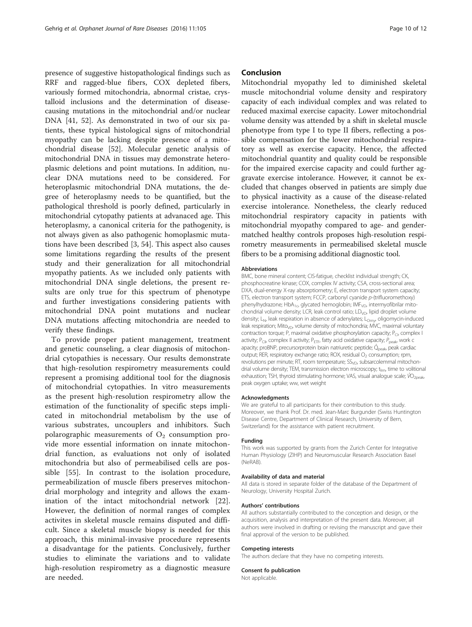presence of suggestive histopathological findings such as RRF and ragged-blue fibers, COX depleted fibers, variously formed mitochondria, abnormal cristae, crystalloid inclusions and the determination of diseasecausing mutations in the mitochondrial and/or nuclear DNA [[41,](#page-10-0) [52](#page-11-0)]. As demonstrated in two of our six patients, these typical histological signs of mitochondrial myopathy can be lacking despite presence of a mitochondrial disease [[52\]](#page-11-0). Molecular genetic analysis of mitochondrial DNA in tissues may demonstrate heteroplasmic deletions and point mutations. In addition, nuclear DNA mutations need to be considered. For heteroplasmic mitochondrial DNA mutations, the degree of heteroplasmy needs to be quantified, but the pathological threshold is poorly defined, particularly in mitochondrial cytopathy patients at advanaced age. This heteroplasmy, a canonical criteria for the pathogenity, is not always given as also pathogenic homoplasmic mutations have been described [\[3](#page-10-0), [54\]](#page-11-0). This aspect also causes some limitations regarding the results of the present study and their generalization for all mitochondrial myopathy patients. As we included only patients with mitochondrial DNA single deletions, the present results are only true for this spectrum of phenotype and further investigations considering patients with mitochondrial DNA point mutations and nuclear DNA mutations affecting mitochondria are needed to verify these findings.

To provide proper patient management, treatment and genetic counseling, a clear diagnosis of mitochondrial cytopathies is necessary. Our results demonstrate that high-resolution respirometry measurements could represent a promising additional tool for the diagnosis of mitochondrial cytopathies. In vitro measurements as the present high-resolution respirometry allow the estimation of the functionality of specific steps implicated in mitochondrial metabolism by the use of various substrates, uncouplers and inhibitors. Such polarographic measurements of  $O<sub>2</sub>$  consumption provide more essential information on innate mitochondrial function, as evaluations not only of isolated mitochondria but also of permeabilised cells are possible [\[55](#page-11-0)]. In contrast to the isolation procedure, permeabilization of muscle fibers preserves mitochondrial morphology and integrity and allows the examination of the intact mitochondrial network [\[22](#page-10-0)]. However, the definition of normal ranges of complex activites in skeletal muscle remains disputed and difficult. Since a skeletal muscle biopsy is needed for this approach, this minimal-invasive procedure represents a disadvantage for the patients. Conclusively, further studies to eliminate the variations and to validate high-resolution respirometry as a diagnostic measure are needed.

# Conclusion

Mitochondrial myopathy led to diminished skeletal muscle mitochondrial volume density and respiratory capacity of each individual complex and was related to reduced maximal exercise capacity. Lower mitochondrial volume density was attended by a shift in skeletal muscle phenotype from type I to type II fibers, reflecting a possible compensation for the lower mitochondrial respiratory as well as exercise capacity. Hence, the affected mitochondrial quantity and quality could be responsible for the impaired exercise capacity and could further aggravate exercise intolerance. However, it cannot be excluded that changes observed in patients are simply due to physical inactivity as a cause of the disease-related exercise intolerance. Nonetheless, the clearly reduced mitochondrial respiratory capacity in patients with mitochondrial myopathy compared to age- and gendermatched healthy controls proposes high-resolution respirometry measurements in permeabilised skeletal muscle fibers to be a promising additional diagnostic tool.

#### Abbreviations

BMC, bone mineral content; CIS-fatigue, checklist individual strength; CK, phosphocreatine kinase; COX, complex IV activity; CSA, cross-sectional area; DXA, dual-energy X-ray absorptiometry; E, electron transport system capacity; ETS, electron transport system; FCCP, carbonyl cyanide p-(trifluoromethoxy) phenylhydrazone; HbA<sub>1c</sub>, glycated hemoglobin; IMF<sub>VD</sub>, intermyofibrilar mitochondrial volume density; LCR, leak control ratio; LD<sub>VD</sub>, lipid droplet volume density; L<sub>N</sub>, leak respiration in absence of adenylates; L<sub>Omy</sub>, oligomycin-induced leak respiration; Mito<sub>vD</sub>, volume density of mitochondria; MVC, maximal voluntary contraction torque; P, maximal oxidative phosphorylation capacity;  $P_{CI}$ , complex I activity;  $P_{C|b}$  complex II activity;  $P_{ETF}$ , fatty acid oxidative capacity;  $P_{peak}$  work c apacity; proBNP, precursorprotein brain natriuretic peptide;  $Q_{\rm peak}$  peak cardiac output; RER, respiratory exchange ratio; ROX, residual  $O<sub>2</sub>$  consumption; rpm, revolutions per minute; RT, room temperature; SS<sub>VD</sub>, subsarcolemmal mitochondrial volume density; TEM, transmission electron microscopy; t<sub>lim</sub>, time to volitional exhaustion; TSH, thyroid stimulating hormone; VAS, visual analogue scale;  $\dot{V}O_{2\text{peak}}$ peak oxygen uptake; ww, wet weight

#### Acknowledgments

We are grateful to all participants for their contribution to this study. Moreover, we thank Prof. Dr. med. Jean-Marc Burgunder (Swiss Huntington Disease Centre, Department of Clinical Research, University of Bern, Switzerland) for the assistance with patient recruitment.

#### Funding

This work was supported by grants from the Zurich Center for Integrative Human Physiology (ZIHP) and Neuromuscular Research Association Basel (NeRAB).

#### Availability of data and material

All data is stored in separate folder of the database of the Department of Neurology, University Hospital Zurich.

#### Authors' contributions

All authors substantially contributed to the conception and design, or the acquisition, analysis and interpretation of the present data. Moreover, all authors were involved in drafting or revising the manuscript and gave their final approval of the version to be published.

#### Competing interests

The authors declare that they have no competing interests.

Consent fo publication

Not applicable.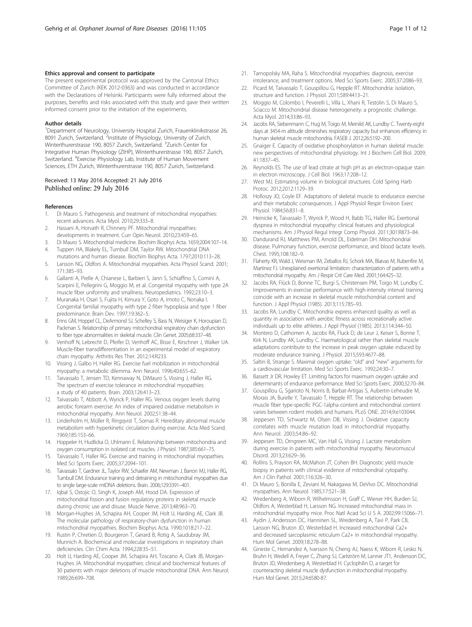#### <span id="page-10-0"></span>Ethics approval and consent to participate

The present experimental protocol was approved by the Cantonal Ethics Committee of Zurich (KEK 2012-0363) and was conducted in accordance with the Declarations of Helsinki. Participants were fully informed about the purposes, benefits and risks associated with this study and gave their written informed consent prior to the initiation of the experiments.

#### Author details

<sup>1</sup>Department of Neurology, University Hospital Zurich, Frauenklinikstrasse 26, 8091 Zurich, Switzerland. <sup>2</sup>Institute of Physiology, University of Zurich, Winterthurerstrasse 190, 8057 Zurich, Switzerland. <sup>3</sup>Zurich Center for Integrative Human Physiology (ZIHP), Winterthurerstrasse 190, 8057 Zurich, Switzerland. <sup>4</sup>Exercise Physiology Lab, Institute of Human Movement Sciences, ETH Zurich, Winterthurerstrasse 190, 8057 Zurich, Switzerland.

# Received: 13 May 2016 Accepted: 21 July 2016 Published online: 29 July 2016

#### References

- 1. Di Mauro S. Pathogenesis and treatment of mitochondrial myopathies: recent advances. Acta Myol. 2010;29:333–8.
- 2. Hassani A, Horvath R, Chinnery PF. Mitochondrial myopathies: developments in treatment. Curr Opin Neurol. 2010;23:459–65.
- 3. Di Mauro S. Mitochondrial medicine. Biochim Biophys Acta. 1659;2004:107–14.
- 4. Tuppen HA, Blakely EL, Turnbull DM, Taylor RW. Mitochondrial DNA mutations and human disease. Biochim Biophys Acta. 1797;2010:113–28.
- 5. Larsson NG, Oldfors A. Mitochondrial myopathies. Acta Physiol Scand. 2001; 171:385–93.
- 6. Gallanti A, Prelle A, Chianese L, Barbieri S, Jann S, Schiaffino S, Comini A, Scarpini E, Pellegrini G, Moggio M, et al. Congenital myopathy with type 2A muscle fiber uniformity and smallness. Neuropediatrics. 1992;23:10–3.
- 7. Muranaka H, Osari S, Fujita H, Kimura Y, Goto A, Imoto C, Nonaka I. Congenital familial myopathy with type 2 fiber hypoplasia and type 1 fiber predominance. Brain Dev. 1997;19:362–5.
- Enns GM, Hoppel CL, DeArmond SJ, Schelley S, Bass N, Weisiger K, Horoupian D, Packman S. Relationship of primary mitochondrial respiratory chain dysfunction to fiber type abnormalities in skeletal muscle. Clin Genet. 2005;68:337–48.
- 9. Venhoff N, Lebrecht D, Pfeifer D, Venhoff AC, Bisse E, Kirschner J, Walker UA. Muscle-fiber transdifferentiation in an experimental model of respiratory chain myopathy. Arthritis Res Ther. 2012;14:R233.
- 10. Vissing J, Galbo H, Haller RG. Exercise fuel mobilization in mitochondrial myopathy: a metabolic dilemma. Ann Neurol. 1996;40:655–62.
- 11. Taivassalo T, Jensen TD, Kennaway N, DiMauro S, Vissing J, Haller RG. The spectrum of exercise tolerance in mitochondrial myopathies: a study of 40 patients. Brain. 2003;126:413–23.
- 12. Taivassalo T, Abbott A, Wyrick P, Haller RG. Venous oxygen levels during aerobic forearm exercise: An index of impaired oxidative metabolism in mitochondrial myopathy. Ann Neurol. 2002;51:38–44.
- 13. Linderholm H, Müller R, Ringqvist T, Sornas R. Hereditary abnormal muscle metabolism with hyperkinetic circulation during exercise. Acta Med Scand. 1969;185:153–66.
- 14. Hoppeler H, Hudlicka O, Uhlmann E. Relationship between mitochondria and oxygen consumption in isolated cat muscles. J Physiol. 1987;385:661–75.
- 15. Taivassalo T, Haller RG. Exercise and training in mitochondrial myopathies. Med Sci Sports Exerc. 2005;37:2094–101.
- 16. Taivassalo T, Gardner JL, Taylor RW, Schaefer AM, Newman J, Barron MJ, Haller RG, Turnbull DM. Endurance training and detraining in mitochondrial myopathies due to single large-scale mtDNA deletions. Brain. 2006;129:3391–401.
- 17. Iqbal S, Ostojic O, Singh K, Joseph AM, Hood DA. Expression of mitochondrial fission and fusion regulatory proteins in skeletal muscle during chronic use and disuse. Muscle Nerve. 2013;48:963–70.
- 18. Morgan-Hughes JA, Schapira AH, Cooper JM, Holt IJ, Harding AE, Clark JB. The molecular pathology of respiratory-chain dysfunction in human mitochondrial myopathies. Biochim Biophys Acta. 1990;1018:217–22.
- 19. Rustin P, Chretien D, Bourgeron T, Gerard B, Rotig A, Saudubray JM, Munnich A. Biochemical and molecular investigations in respiratory chain deficiencies. Clin Chim Acta. 1994;228:35–51.
- 20. Holt IJ, Harding AE, Cooper JM, Schapira AH, Toscano A, Clark JB, Morgan-Hughes JA. Mitochondrial myopathies: clinical and biochemical features of 30 patients with major deletions of muscle mitochondrial DNA. Ann Neurol. 1989;26:699–708.
- 21. Tarnopolsky MA, Raha S. Mitochondrial myopathies: diagnosis, exercise intolerance, and treatment options. Med Sci Sports Exerc. 2005;37:2086–93.
- 22. Picard M, Taivassalo T, Gouspillou G, Hepple RT. Mitochondria: isolation, structure and function. J Physiol. 2011;589:4413–21.
- 23. Moggio M, Colombo I, Peverelli L, Villa L, Xhani R, Testolin S, Di Mauro S, Sciacco M. Mitochondrial disease heterogeneity: a prognostic challenge. Acta Myol. 2014;33:86–93.
- 24. Jacobs RA, Siebenmann C, Hug M, Toigo M, Meinild AK, Lundby C. Twenty-eight days at 3454-m altitude diminishes respiratory capacity but enhances efficiency in human skeletal muscle mitochondria. FASEB J. 2012;26:5192–200.
- 25. Gnaiger E. Capacity of oxidative phosphorylation in human skeletal muscle: new perspectives of mitochondrial physiology. Int J Biochem Cell Biol. 2009; 41:1837–45.
- 26. Reynolds ES. The use of lead citrate at high pH as an electron-opaque stain in electron microscopy. J Cell Biol. 1963;17:208–12.
- 27. West MJ. Estimating volume in biological structures. Cold Spring Harb Protoc. 2012;2012:1129–39.
- 28. Holloszy JO, Coyle EF. Adaptations of skeletal muscle to endurance exercise and their metabolic consequences. J Appl Physiol Respir Environ Exerc Physiol. 1984;56:831–8.
- 29. Heinicke K, Taivassalo T, Wyrick P, Wood H, Babb TG, Haller RG. Exertional dyspnea in mitochondrial myopathy: clinical features and physiological mechanisms. Am J Physiol Regul Integr Comp Physiol. 2011;301:R873–84.
- 30. Dandurand RJ, Matthews PM, Arnold DL, Eidelman DH. Mitochondrial disease. Pulmonary function, exercise performance, and blood lactate levels. Chest. 1995;108:182–9.
- 31. Flaherty KR, Wald J, Weisman IM, Zeballos RJ, Schork MA, Blaivas M, Rubenfire M, Martinez FJ. Unexplained exertional limitation: characterization of patients with a mitochondrial myopathy. Am J Respir Crit Care Med. 2001;164:425–32.
- 32. Jacobs RA, Flück D, Bonne TC, Burgi S, Christensen PM, Toigo M, Lundby C. Improvements in exercise performance with high-intensity interval training coincide with an increase in skeletal muscle mitochondrial content and function. J Appl Physiol (1985). 2013;115:785–93.
- 33. Jacobs RA, Lundby C. Mitochondria express enhanced quality as well as quantity in association with aerobic fitness across recreationally active individuals up to elite athletes. J Appl Physiol (1985). 2013;114:344–50.
- 34. Montero D, Cathomen A, Jacobs RA, Fluck D, de Leur J, Keiser S, Bonne T, Kirk N, Lundby AK, Lundby C. Haematological rather than skeletal muscle adaptations contribute to the increase in peak oxygen uptake induced by moderate endurance training. J Physiol. 2015;593:4677–88.
- 35. Saltin B, Strange S. Maximal oxygen uptake: "old" and "new" arguments for a cardiovascular limitation. Med Sci Sports Exerc. 1992;24:30–7.
- 36. Bassett Jr DR, Howley ET. Limiting factors for maximum oxygen uptake and determinants of endurance performance. Med Sci Sports Exerc. 2000;32:70–84.
- 37. Gouspillou G, Sgarioto N, Norris B, Barbat-Artigas S, Aubertin-Leheudre M, Morais JA, Burelle Y, Taivassalo T, Hepple RT. The relationship between muscle fiber type-specific PGC-1alpha content and mitochondrial content varies between rodent models and humans. PLoS ONE. 2014;9:e103044.
- 38. Jeppesen TD, Schwartz M, Olsen DB, Vissing J. Oxidative capacity correlates with muscle mutation load in mitochondrial myopathy. Ann Neurol. 2003;54:86–92.
- 39. Jeppesen TD, Orngreen MC, Van Hall G, Vissing J. Lactate metabolism during exercise in patients with mitochondrial myopathy. Neuromuscul Disord. 2013;23:629–36.
- 40. Rollins S, Prayson RA, McMahon JT, Cohen BH. Diagnostic yield muscle biopsy in patients with clinical evidence of mitochondrial cytopathy. Am J Clin Pathol. 2001;116:326–30.
- 41. Di Mauro S, Bonilla E, Zeviani M, Nakagawa M, DeVivo DC. Mitochondrial myopathies. Ann Neurol. 1985;17:521–38.
- 42. Wredenberg A, Wibom R, Wilhelmsson H, Graff C, Wiener HH, Burden SJ, Oldfors A, Westerblad H, Larsson NG. Increased mitochondrial mass in mitochondrial myopathy mice. Proc Natl Acad Sci U S A. 2002;99:15066–71.
- 43. Aydin J, Andersson DC, Hanninen SL, Wredenberg A, Tavi P, Park CB, Larsson NG, Bruton JD, Westerblad H. Increased mitochondrial Ca2+ and decreased sarcoplasmic reticulum Ca2+ in mitochondrial myopathy. Hum Mol Genet. 2009;18:278–88.
- 44. Gineste C, Hernandez A, Ivarsson N, Cheng AJ, Naess K, Wibom R, Lesko N, Bruhn H, Wedell A, Freyer C, Zhang SJ, Carlström M, Lanner JT1, Andersson DC, Bruton JD, Wredenberg A, Westerblad H. Cyclophilin D, a target for counteracting skeletal muscle dysfunction in mitochondrial myopathy. Hum Mol Genet. 2015;24:6580-87.